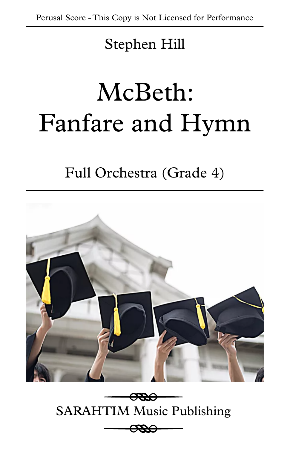# McBeth: Fanfare and Hymn

### SARAHTIM Music Publishing



# Full Orchestra (Grade 4)





## Stephen Hill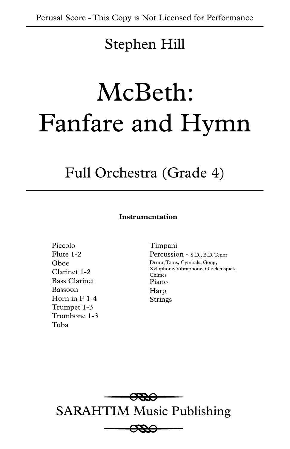# McBeth: Fanfare and Hymn

SARAHTIM Music Publishing



## Full Orchestra (Grade 4)

### Stephen Hill

### **Instrumentation**

Piccolo Flute 1-2 Oboe Clarinet 1-2 Bass Clarinet Bassoon Horn in F 1-4 Trumpet 1-3 Trombone 1-3 Tuba

Timpani Percussion - S.D., B.D. Tenor Drum, Toms, Cymbals, Gong, Xylophone, Vibraphone, Glockenspiel, Chimes Piano Harp Strings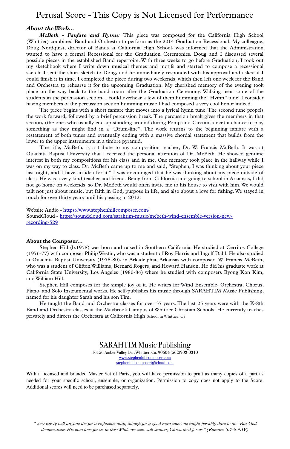#### *About the Work...*

*McBeth - Fanfare and Hymn:* This piece was composed for the California High School (Whittier) combined Band and Orchestra to perform as the 2014 Graduation Recessional. My colleague, Doug Nordquist, director of Bands at California High School, was informed that the Administration wanted to have a formal Recessional for the Graduation Ceremonies. Doug and I discussed several possible pieces in the established Band repertoire. With three weeks to go before Graduation, I took out my sketchbook where I write down musical themes and motifs and started to compose a recessional sketch. I sent the short sketch to Doug, and he immediately responded with his approval and asked if I could finish it in time. I completed the piece during two weekends, which then left one week for the Band and Orchestra to rehearse it for the upcoming Graduation. My cherished memory of the evening took place on the way back to the band room after the Graduation Ceremony. Walking near some of the students in the percussion section, I could overhear a few of them humming the "Hymn" tune. I consider having members of the percussion section humming music I had composed a very cool honor indeed.

 The piece begins with a short fanfare that moves into a lyrical hymn tune. The second tune propels the work forward, followed by a brief percussion break. The percussion break gives the members in that section, (the ones who usually end up standing around during Pomp and Circumstance) a chance to play something as they might find in a "Drum-line". The work returns to the beginning fanfare with a restatement of both tunes and eventually ending with a massive chordal statement that builds from the lower to the upper instruments in a timbre pyramid.

 The title, McBeth, is a tribute to my composition teacher, Dr. W. Francis McBeth. It was at Ouachita Baptist University that I received the personal attention of Dr. McBeth. He showed genuine interest in both my compositions for his class and in me. One memory took place in the hallway while I was on my way to class. Dr. McBeth came up to me and said, "Stephen, I was thinking about your piece last night, and I have an idea for it." I was encouraged that he was thinking about my piece outside of class. He was a very kind teacher and friend. Being from California and going to school in Arkansas, I did not go home on weekends, so Dr. McBeth would often invite me to his house to visit with him. We would talk not just about music, but faith in God, purpose in life, and also about a love for fishing. We stayed in touch for over thirty years until his passing in 2012.

Website Audio -<https://www.stephenhillcomposer.com/> SoundCloud - [https://soundcloud.com/sarahtim-music/mcbeth-wind-ensemble-version-new](https://soundcloud.com/sarahtim-music/sets/chorale-in-memoriam-band)[recording-529](https://soundcloud.com/sarahtim-music/sets/chorale-in-memoriam-band)

#### **About the Composer...**

 Stephen Hill (b.1958) was born and raised in Southern California. He studied at Cerritos College (1976-77) with composer Philip Westin, who was a student of Roy Harris and Ingolf Dahl. He also studied at Ouachita Baptist University (1978-80), in Arkadelphia, Arkansas with composer W. Francis McBeth, who was a student of Clifton Williams, Bernard Rogers, and Howard Hanson. He did his graduate work at California State University, Los Angeles (1980-84) where he studied with composers Byong Kon Kim, and William Hill.

 Stephen Hill composes for the simple joy of it. He writes for Wind Ensemble, Orchestra, Chorus, Piano, and Solo Instrumental works. He self-publishes his music through SARAHTIM Music Publishing, named for his daughter Sarah and his son Tim.

 He taught the Band and Orchestra classes for over 37 years. The last 25 years were with the K-8th Band and Orchestra classes at the Maybrook Campus of Whittier Christian Schools. He currently teaches privately and directs the Orchestra at California High School in Whittier, Ca.

### SARAHTIM Music Publishing

16156 Amber Valley Dr. ,Whittier, Ca. 90604 (562)902-0310 [www.stephenhillcomposer.com](http://www.stephenhillcomposer.com) [stephenhillcomposer@icloud.com](mailto:stephenhillcomposer@icloud.com)

With a licensed and branded Master Set of Parts, you will have permission to print as many copies of a part as needed for your specific school, ensemble, or organization. Permission to copy does not apply to the Score. Additional scores will need to be purchased separately.

*"Very rarely will anyone die for a righteous man, though for a good man someone might possibly dare to die. But God demonstrates His own love for us in this: While we were still sinners, Christ died for us." (Romans 5:7-8 NIV)*

### Perusal Score - This Copy is Not Licensed for Performance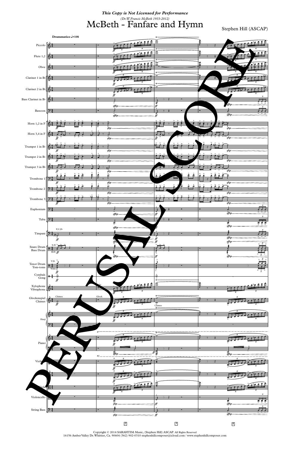#### This Copy is Not Licensed for Performance (Dr. W. Francis McBeth 1933-2012) McBeth - Fanfare and Hymn

Stephen Hill (ASCAP)



 $\label{eq:Cor1} \begin{array}{c} \text{Copyright} \textcircled{\small{0}} \text{ 2014 SARAHTIM Music, (Stephen Hill) ASCAP. All Rights Research} \\ \text{16156 Amber Valley Dr. Whittier, Ca. 90604 (562) 902-0310 stephenhill composer\textcircled{\small{10}}. \text{6089} \\ \text{2014 SARAHTIM Music, (Stephenhill composer\textcircled{\small{10}}) ASCAP. All Rights Research\n} \end{array}$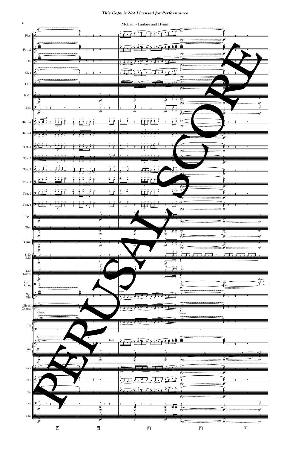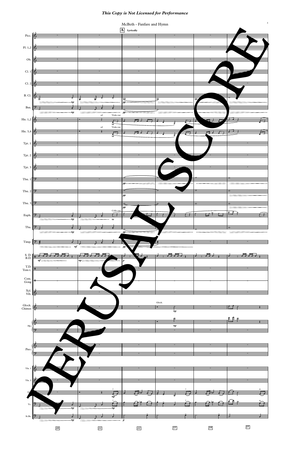

 $\boxed{11}$ 

 $\boxed{12}$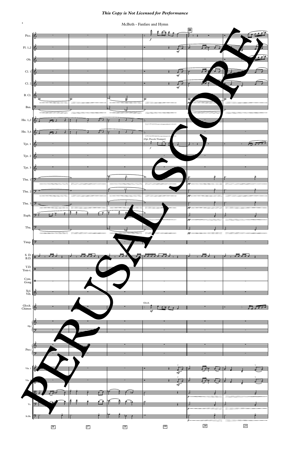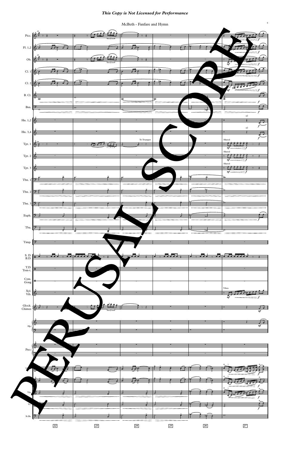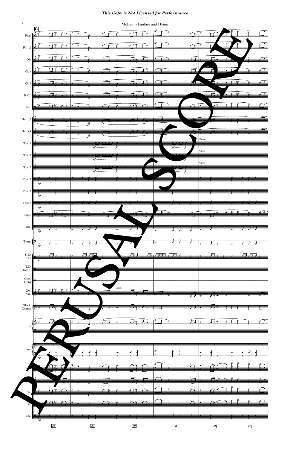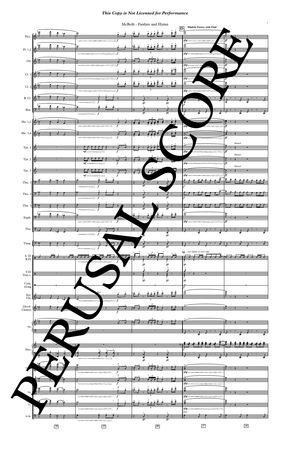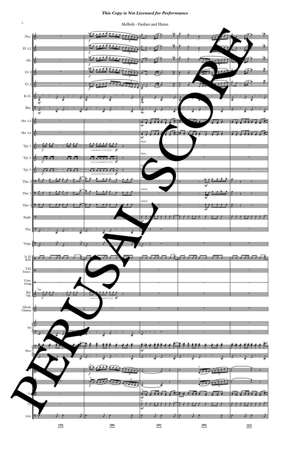McBeth - Fanfare and Hymn

 $\,$  8  $\,$ 

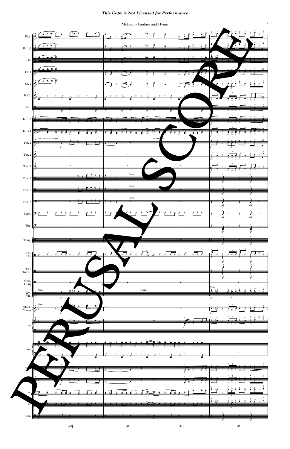

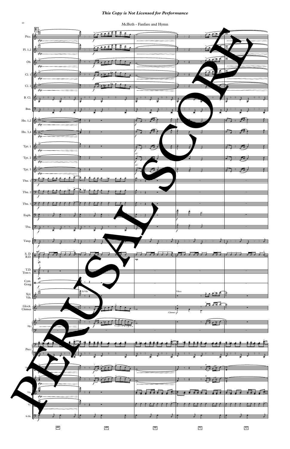

 $\boxed{52}$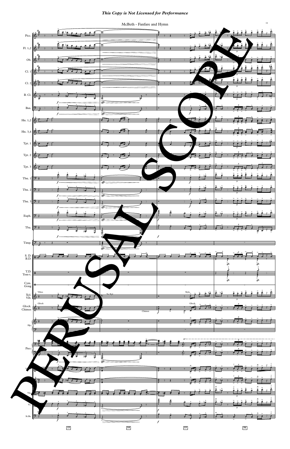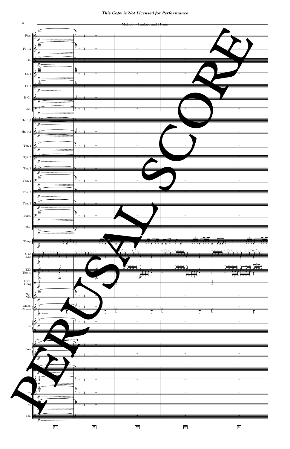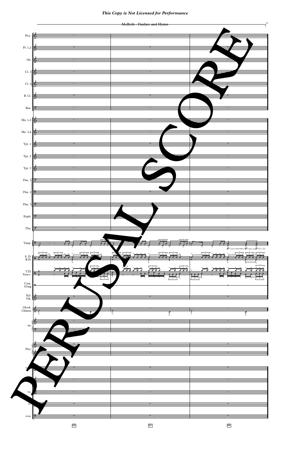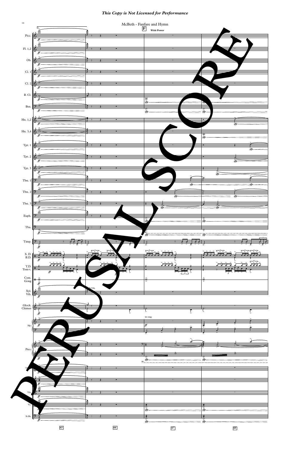This Copy is Not Licensed for Performance

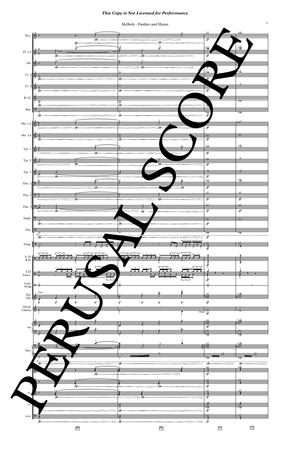